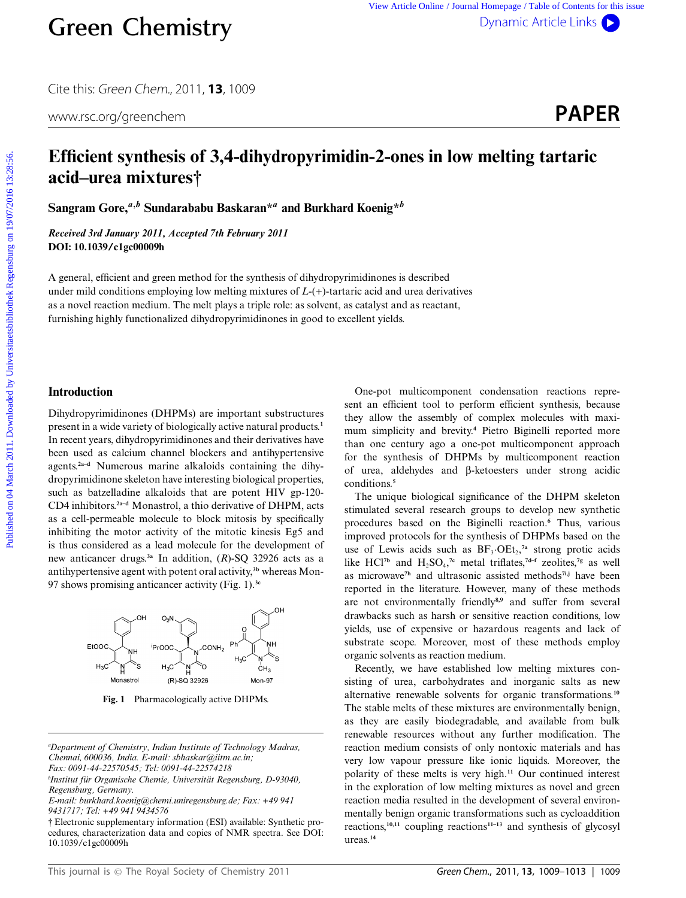Cite this: Green Chem., 2011, **13**, 1009

# **Efficient synthesis of 3,4-dihydropyrimidin-2-ones in low melting tartaric acid–urea mixtures†**

**Sangram Gore,***<sup>a</sup>,<sup>b</sup>* **Sundarababu Baskaran\****<sup>a</sup>* **and Burkhard Koenig\****<sup>b</sup>*

*Received 3rd January 2011, Accepted 7th February 2011* **DOI: 10.1039/c1gc00009h**

A general, efficient and green method for the synthesis of dihydropyrimidinones is described under mild conditions employing low melting mixtures of *L*-(+)-tartaric acid and urea derivatives as a novel reaction medium. The melt plays a triple role: as solvent, as catalyst and as reactant, furnishing highly functionalized dihydropyrimidinones in good to excellent yields.

## **Introduction**

Dihydropyrimidinones (DHPMs) are important substructures present in a wide variety of biologically active natural products.**<sup>1</sup>** In recent years, dihydropyrimidinones and their derivatives have been used as calcium channel blockers and antihypertensive agents.**2a–d** Numerous marine alkaloids containing the dihydropyrimidinone skeleton have interesting biological properties, such as batzelladine alkaloids that are potent HIV gp-120- CD4 inhibitors.**2a–d** Monastrol, a thio derivative of DHPM, acts as a cell-permeable molecule to block mitosis by specifically inhibiting the motor activity of the mitotic kinesis Eg5 and is thus considered as a lead molecule for the development of new anticancer drugs.**3a** In addition, (*R*)-SQ 32926 acts as a antihypertensive agent with potent oral activity,**3b** whereas Mon-97 shows promising anticancer activity (Fig. 1).**3c Creen Chemistry**<br>
Circle in Second on 19/07/2010 Article Into **PAPER**<br>
Efficient synthesis of 3,4-dihydropyrimidin-2-ones in low melting tartaric<br>
acid—urea mixtures<sup>†</sup><br>
Sangram Gove<sup>46</sup> Sundarabable Baskaran<sup>44</sup> and Bur



**Fig. 1** Pharmacologically active DHPMs.

One-pot multicomponent condensation reactions represent an efficient tool to perform efficient synthesis, because they allow the assembly of complex molecules with maximum simplicity and brevity.**<sup>4</sup>** Pietro Biginelli reported more than one century ago a one-pot multicomponent approach for the synthesis of DHPMs by multicomponent reaction of urea, aldehydes and b-ketoesters under strong acidic conditions.**<sup>5</sup>**

The unique biological significance of the DHPM skeleton stimulated several research groups to develop new synthetic procedures based on the Biginelli reaction.**<sup>6</sup>** Thus, various improved protocols for the synthesis of DHPMs based on the use of Lewis acids such as  $BF_3 \cdot OEt_2$ ,<sup>7a</sup> strong protic acids like HCl<sup>7b</sup> and H<sub>2</sub>SO<sub>4</sub>,<sup>7c</sup> metal triflates,<sup>7d-f</sup> zeolites,<sup>7g</sup> as well as microwave**7h** and ultrasonic assisted methods**7i,j** have been reported in the literature. However, many of these methods are not environmentally friendly**8,9** and suffer from several drawbacks such as harsh or sensitive reaction conditions, low yields, use of expensive or hazardous reagents and lack of substrate scope. Moreover, most of these methods employ organic solvents as reaction medium.

Recently, we have established low melting mixtures consisting of urea, carbohydrates and inorganic salts as new alternative renewable solvents for organic transformations.**<sup>10</sup>** The stable melts of these mixtures are environmentally benign, as they are easily biodegradable, and available from bulk renewable resources without any further modification. The reaction medium consists of only nontoxic materials and has very low vapour pressure like ionic liquids. Moreover, the polarity of these melts is very high.**<sup>11</sup>** Our continued interest in the exploration of low melting mixtures as novel and green reaction media resulted in the development of several environmentally benign organic transformations such as cycloaddition reactions,**10,11** coupling reactions**11–13** and synthesis of glycosyl ureas.**<sup>14</sup>**

*a Department of Chemistry, Indian Institute of Technology Madras, Chennai, 600036, India. E-mail: sbhaskar@iitm.ac.in; Fax: 0091-44-22570545; Tel: 0091-44-22574218*

*bInstitut für Organische Chemie, Universität Regensburg, D-93040, Regensburg, Germany.*

*E-mail: burkhard.koenig@chemi.uniregensburg.de; Fax: +49 941 9431717; Tel: +49 941 9434576*

<sup>†</sup> Electronic supplementary information (ESI) available: Synthetic procedures, characterization data and copies of NMR spectra. See DOI: 10.1039/c1gc00009h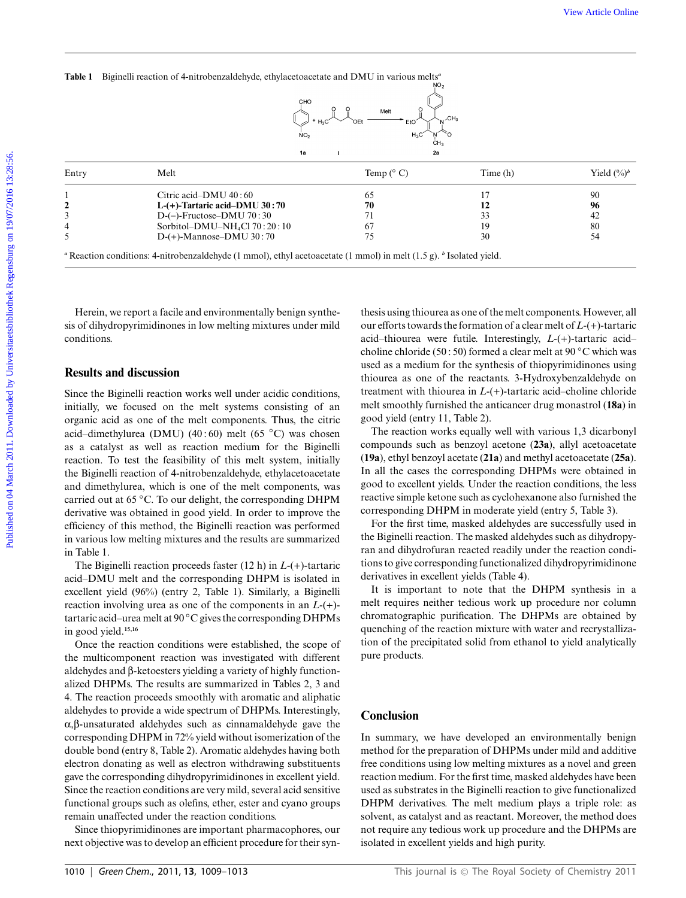|                                              | Table 1 Biginelli reaction of 4-nitrobenzaldehyde, ethylacetoacetate and DMU in various melts <sup>a</sup>                                                                                                                                                                                                                                                                                              | Melt                            |                                                                                                                                                                                                                                                                                                                                                                                                                              |                        |
|----------------------------------------------|---------------------------------------------------------------------------------------------------------------------------------------------------------------------------------------------------------------------------------------------------------------------------------------------------------------------------------------------------------------------------------------------------------|---------------------------------|------------------------------------------------------------------------------------------------------------------------------------------------------------------------------------------------------------------------------------------------------------------------------------------------------------------------------------------------------------------------------------------------------------------------------|------------------------|
| Entry                                        | 1a<br>Melt                                                                                                                                                                                                                                                                                                                                                                                              | 2a<br>Temp $(^\circ$ C)         | Time(h)                                                                                                                                                                                                                                                                                                                                                                                                                      | Yield $(^{0}_{0})^{b}$ |
|                                              |                                                                                                                                                                                                                                                                                                                                                                                                         |                                 |                                                                                                                                                                                                                                                                                                                                                                                                                              |                        |
| 1                                            | Citric acid-DMU 40:60                                                                                                                                                                                                                                                                                                                                                                                   | 65                              | 17                                                                                                                                                                                                                                                                                                                                                                                                                           | 90                     |
| $\mathbf{2}$<br>3                            | L- $(+)$ -Tartaric acid-DMU 30:70                                                                                                                                                                                                                                                                                                                                                                       | 70<br>71                        | 12<br>33                                                                                                                                                                                                                                                                                                                                                                                                                     | 96<br>42               |
| 4                                            | $D$ -(-)-Fructose-DMU 70:30<br>Sorbitol-DMU-NH <sub>4</sub> Cl 70:20:10                                                                                                                                                                                                                                                                                                                                 | 67                              | 19                                                                                                                                                                                                                                                                                                                                                                                                                           | 80                     |
| 5                                            | $D-(+)$ -Mannose-DMU 30:70                                                                                                                                                                                                                                                                                                                                                                              | 75                              | 30                                                                                                                                                                                                                                                                                                                                                                                                                           | 54                     |
| conditions.<br><b>Results and discussion</b> | Herein, we report a facile and environmentally benign synthe-<br>sis of dihydropyrimidinones in low melting mixtures under mild                                                                                                                                                                                                                                                                         |                                 | thesis using thiourea as one of the melt components. However, all<br>our efforts towards the formation of a clear melt of $L$ -(+)-tartaric<br>acid-thiourea were futile. Interestingly, $L-(+)$ -tartaric acid-<br>choline chloride (50:50) formed a clear melt at 90 $^{\circ}$ C which was<br>used as a medium for the synthesis of thiopyrimidinones using<br>thiourea as one of the reactants. 3-Hydroxybenzaldehyde on |                        |
|                                              | Since the Biginelli reaction works well under acidic conditions,<br>initially, we focused on the melt systems consisting of an<br>organic acid as one of the melt components. Thus, the citric<br>acid-dimethylurea (DMU) (40:60) melt (65 °C) was chosen<br>as a catalyst as well as reaction medium for the Biginelli                                                                                 | good yield (entry 11, Table 2). | treatment with thiourea in $L-(+)$ -tartaric acid-choline chloride<br>melt smoothly furnished the anticancer drug monastrol (18a) in<br>The reaction works equally well with various 1,3 dicarbonyl<br>compounds such as benzoyl acetone (23a), allyl acetoacetate                                                                                                                                                           |                        |
|                                              | reaction. To test the feasibility of this melt system, initially<br>the Biginelli reaction of 4-nitrobenzaldehyde, ethylacetoacetate<br>and dimethylurea, which is one of the melt components, was<br>carried out at 65 °C. To our delight, the corresponding DHPM<br>derivative was obtained in good yield. In order to improve the<br>efficiency of this method, the Biginelli reaction was performed |                                 | (19a), ethyl benzoyl acetate (21a) and methyl acetoacetate (25a).<br>In all the cases the corresponding DHPMs were obtained in<br>good to excellent yields. Under the reaction conditions, the less<br>reactive simple ketone such as cyclohexanone also furnished the<br>corresponding DHPM in moderate yield (entry 5, Table 3).<br>For the first time, masked aldehydes are successfully used in                          |                        |
|                                              | in various low melting mixtures and the results are summarized                                                                                                                                                                                                                                                                                                                                          |                                 | the Biginelli reaction. The masked aldehydes such as dihydropy-                                                                                                                                                                                                                                                                                                                                                              |                        |
|                                              |                                                                                                                                                                                                                                                                                                                                                                                                         |                                 | $\mathbf{1}$ and $\mathbf{1}$ and $\mathbf{1}$ and $\mathbf{1}$ and $\mathbf{1}$ and $\mathbf{1}$ and $\mathbf{1}$ and $\mathbf{1}$ and $\mathbf{1}$ and $\mathbf{1}$ and $\mathbf{1}$ and $\mathbf{1}$ and $\mathbf{1}$ and $\mathbf{1}$ and $\mathbf{1}$ and $\mathbf{1}$ and $\mathbf{1}$ and                                                                                                                             |                        |

### **Results and discussion**

Since the Biginelli reaction works well under acidic conditions, initially, we focused on the melt systems consisting of an organic acid as one of the melt components. Thus, the citric acid–dimethylurea (DMU) (40 : 60) melt (65 *◦*C) was chosen as a catalyst as well as reaction medium for the Biginelli reaction. To test the feasibility of this melt system, initially the Biginelli reaction of 4-nitrobenzaldehyde, ethylacetoacetate and dimethylurea, which is one of the melt components, was carried out at 65 *◦*C. To our delight, the corresponding DHPM derivative was obtained in good yield. In order to improve the efficiency of this method, the Biginelli reaction was performed in various low melting mixtures and the results are summarized in Table 1.

The Biginelli reaction proceeds faster (12 h) in *L*-(+)-tartaric acid–DMU melt and the corresponding DHPM is isolated in excellent yield (96%) (entry 2, Table 1). Similarly, a Biginelli reaction involving urea as one of the components in an *L*-(+) tartaric acid–urea melt at 90 *◦*C gives the corresponding DHPMs in good yield.**15,16**

Once the reaction conditions were established, the scope of the multicomponent reaction was investigated with different aldehydes and  $\beta$ -ketoesters yielding a variety of highly functionalized DHPMs. The results are summarized in Tables 2, 3 and 4. The reaction proceeds smoothly with aromatic and aliphatic aldehydes to provide a wide spectrum of DHPMs. Interestingly,  $\alpha$ , $\beta$ -unsaturated aldehydes such as cinnamaldehyde gave the corresponding DHPM in 72% yield without isomerization of the double bond (entry 8, Table 2). Aromatic aldehydes having both electron donating as well as electron withdrawing substituents gave the corresponding dihydropyrimidinones in excellent yield. Since the reaction conditions are very mild, several acid sensitive functional groups such as olefins, ether, ester and cyano groups remain unaffected under the reaction conditions.

Since thiopyrimidinones are important pharmacophores, our next objective was to develop an efficient procedure for their syn-

For the first time, masked aldehydes are successfully used in the Biginelli reaction. The masked aldehydes such as dihydropyran and dihydrofuran reacted readily under the reaction conditions to give corresponding functionalized dihydropyrimidinone derivatives in excellent yields (Table 4).

It is important to note that the DHPM synthesis in a melt requires neither tedious work up procedure nor column chromatographic purification. The DHPMs are obtained by quenching of the reaction mixture with water and recrystallization of the precipitated solid from ethanol to yield analytically pure products.

#### **Conclusion**

In summary, we have developed an environmentally benign method for the preparation of DHPMs under mild and additive free conditions using low melting mixtures as a novel and green reaction medium. For the first time, masked aldehydes have been used as substrates in the Biginelli reaction to give functionalized DHPM derivatives. The melt medium plays a triple role: as solvent, as catalyst and as reactant. Moreover, the method does not require any tedious work up procedure and the DHPMs are isolated in excellent yields and high purity.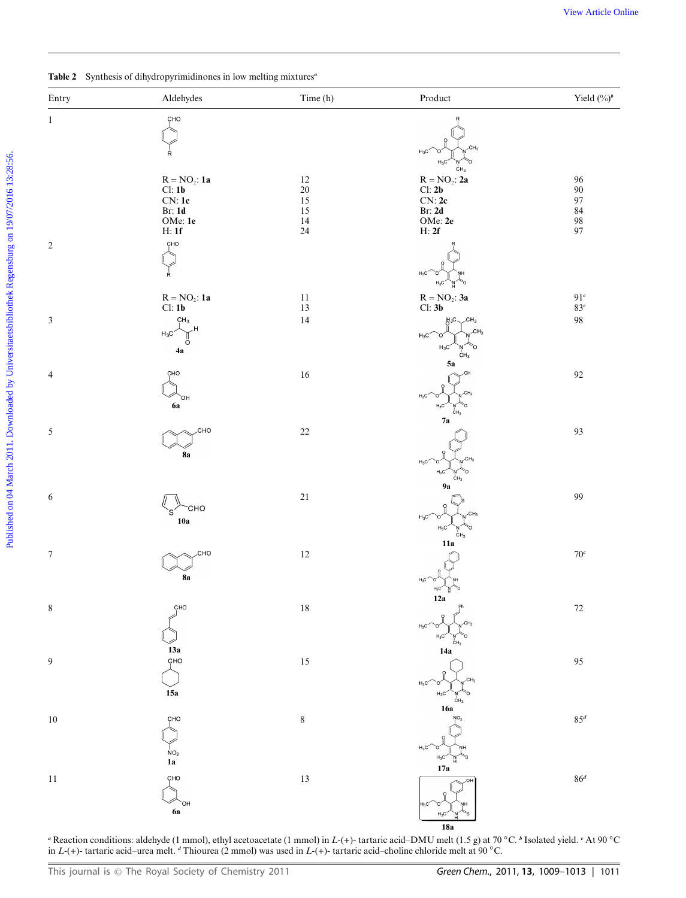|  |  | Table 2 Synthesis of dihydropyrimidinones in low melting mixtures <sup>a</sup> |  |  |  |
|--|--|--------------------------------------------------------------------------------|--|--|--|
|--|--|--------------------------------------------------------------------------------|--|--|--|

| Time (h)<br>$\bf Product$<br>Yield $(\%)^b$<br>Aldehydes<br>Entry<br>CHO<br>$\mathbf{1}$<br>CH <sub>3</sub><br>$H_3C$<br>Ŕ<br>$H_3C$<br>Ô<br>$c_{H_3}$<br>$R = NO_2$ : 2a<br>$R = NO_2$ : 1a<br>96<br>12<br>Cl: 1b<br>Cl: 2b<br>$90\,$<br>$20\,$<br>CN:1c<br>CN:2c<br>$\boldsymbol{97}$<br>15<br>Br: 2d<br>84<br><b>Br: 1d</b><br>15<br>OMe: 1e<br>OMe: $2e$<br>98<br>97<br>14<br>H:1f<br>24<br>H: 2f<br>CHO<br>$\overline{2}$<br>$H_3C$<br>Ŕ.<br>řo<br>$R = NO_2$ : 1a<br>$R = NO_2$ : 3a<br>$91^{\circ}$<br>11<br>Cl: 3b<br>Cl: 1b<br>$83^{\circ}$<br>13<br>$\mathfrak{Z}$<br>14<br>$\bf{98}$<br>CH <sub>3</sub><br>CH <sub>3</sub><br>H3C.<br>CH <sub>3</sub><br>$H_3C$<br>$H_3C$<br>'n<br>$\circ$<br>$H_3C$<br>4a<br>CH <sub>3</sub><br>5a<br>16<br>92<br>$\overline{4}$<br>CHO<br>$H_3C$<br>`он<br>6a<br>$H_3C$<br>ċн <sub>з</sub><br>7a<br>$\sqrt{5}$<br>93<br>сно<br>$22\,$<br><b>8a</b><br>$H_3C$<br>H <sub>2</sub><br>CH <sub>3</sub><br>9а<br>$21\,$<br>99<br>6<br><b>CHO</b><br>CH <sub>3</sub><br>$H_3C$<br>10a<br>$H_3C$ $N$ 0<br>11a<br>$\boldsymbol{7}$<br>$12\,$<br>$70^{\circ}$<br>CHO<br>8a<br>12a<br>$\,$ $\,$<br>CHO<br>$18\,$<br>$72\,$<br>$H_3C$<br>$\overline{h}$ <sub>CH3</sub><br>13a<br>14a<br>çно<br>$\boldsymbol{9}$<br>$15\,$<br>95<br>$H_3C'$<br>`o′<br>15a<br>$H_3C$<br>CH <sub>3</sub><br>16a<br>$10\,$<br>$\,$ $\,$<br>$85^d$<br>CHO<br>NO <sub>2</sub><br>${\bf 1a}$<br>17a<br>11<br>$13\,$<br>$86^d$<br>CHO | Table 2 Synthesis of dihydropyrimidinones in low melting mixtures <sup>a</sup> |  |  |  |  |  |  |  |
|------------------------------------------------------------------------------------------------------------------------------------------------------------------------------------------------------------------------------------------------------------------------------------------------------------------------------------------------------------------------------------------------------------------------------------------------------------------------------------------------------------------------------------------------------------------------------------------------------------------------------------------------------------------------------------------------------------------------------------------------------------------------------------------------------------------------------------------------------------------------------------------------------------------------------------------------------------------------------------------------------------------------------------------------------------------------------------------------------------------------------------------------------------------------------------------------------------------------------------------------------------------------------------------------------------------------------------------------------------------------------------------------------------------------------------------------|--------------------------------------------------------------------------------|--|--|--|--|--|--|--|
|                                                                                                                                                                                                                                                                                                                                                                                                                                                                                                                                                                                                                                                                                                                                                                                                                                                                                                                                                                                                                                                                                                                                                                                                                                                                                                                                                                                                                                                |                                                                                |  |  |  |  |  |  |  |
|                                                                                                                                                                                                                                                                                                                                                                                                                                                                                                                                                                                                                                                                                                                                                                                                                                                                                                                                                                                                                                                                                                                                                                                                                                                                                                                                                                                                                                                |                                                                                |  |  |  |  |  |  |  |
|                                                                                                                                                                                                                                                                                                                                                                                                                                                                                                                                                                                                                                                                                                                                                                                                                                                                                                                                                                                                                                                                                                                                                                                                                                                                                                                                                                                                                                                |                                                                                |  |  |  |  |  |  |  |
|                                                                                                                                                                                                                                                                                                                                                                                                                                                                                                                                                                                                                                                                                                                                                                                                                                                                                                                                                                                                                                                                                                                                                                                                                                                                                                                                                                                                                                                |                                                                                |  |  |  |  |  |  |  |
|                                                                                                                                                                                                                                                                                                                                                                                                                                                                                                                                                                                                                                                                                                                                                                                                                                                                                                                                                                                                                                                                                                                                                                                                                                                                                                                                                                                                                                                |                                                                                |  |  |  |  |  |  |  |
|                                                                                                                                                                                                                                                                                                                                                                                                                                                                                                                                                                                                                                                                                                                                                                                                                                                                                                                                                                                                                                                                                                                                                                                                                                                                                                                                                                                                                                                |                                                                                |  |  |  |  |  |  |  |
|                                                                                                                                                                                                                                                                                                                                                                                                                                                                                                                                                                                                                                                                                                                                                                                                                                                                                                                                                                                                                                                                                                                                                                                                                                                                                                                                                                                                                                                |                                                                                |  |  |  |  |  |  |  |
|                                                                                                                                                                                                                                                                                                                                                                                                                                                                                                                                                                                                                                                                                                                                                                                                                                                                                                                                                                                                                                                                                                                                                                                                                                                                                                                                                                                                                                                |                                                                                |  |  |  |  |  |  |  |
|                                                                                                                                                                                                                                                                                                                                                                                                                                                                                                                                                                                                                                                                                                                                                                                                                                                                                                                                                                                                                                                                                                                                                                                                                                                                                                                                                                                                                                                |                                                                                |  |  |  |  |  |  |  |
|                                                                                                                                                                                                                                                                                                                                                                                                                                                                                                                                                                                                                                                                                                                                                                                                                                                                                                                                                                                                                                                                                                                                                                                                                                                                                                                                                                                                                                                |                                                                                |  |  |  |  |  |  |  |
|                                                                                                                                                                                                                                                                                                                                                                                                                                                                                                                                                                                                                                                                                                                                                                                                                                                                                                                                                                                                                                                                                                                                                                                                                                                                                                                                                                                                                                                |                                                                                |  |  |  |  |  |  |  |
|                                                                                                                                                                                                                                                                                                                                                                                                                                                                                                                                                                                                                                                                                                                                                                                                                                                                                                                                                                                                                                                                                                                                                                                                                                                                                                                                                                                                                                                |                                                                                |  |  |  |  |  |  |  |
|                                                                                                                                                                                                                                                                                                                                                                                                                                                                                                                                                                                                                                                                                                                                                                                                                                                                                                                                                                                                                                                                                                                                                                                                                                                                                                                                                                                                                                                |                                                                                |  |  |  |  |  |  |  |
|                                                                                                                                                                                                                                                                                                                                                                                                                                                                                                                                                                                                                                                                                                                                                                                                                                                                                                                                                                                                                                                                                                                                                                                                                                                                                                                                                                                                                                                |                                                                                |  |  |  |  |  |  |  |
|                                                                                                                                                                                                                                                                                                                                                                                                                                                                                                                                                                                                                                                                                                                                                                                                                                                                                                                                                                                                                                                                                                                                                                                                                                                                                                                                                                                                                                                |                                                                                |  |  |  |  |  |  |  |
|                                                                                                                                                                                                                                                                                                                                                                                                                                                                                                                                                                                                                                                                                                                                                                                                                                                                                                                                                                                                                                                                                                                                                                                                                                                                                                                                                                                                                                                |                                                                                |  |  |  |  |  |  |  |
|                                                                                                                                                                                                                                                                                                                                                                                                                                                                                                                                                                                                                                                                                                                                                                                                                                                                                                                                                                                                                                                                                                                                                                                                                                                                                                                                                                                                                                                |                                                                                |  |  |  |  |  |  |  |
|                                                                                                                                                                                                                                                                                                                                                                                                                                                                                                                                                                                                                                                                                                                                                                                                                                                                                                                                                                                                                                                                                                                                                                                                                                                                                                                                                                                                                                                |                                                                                |  |  |  |  |  |  |  |
|                                                                                                                                                                                                                                                                                                                                                                                                                                                                                                                                                                                                                                                                                                                                                                                                                                                                                                                                                                                                                                                                                                                                                                                                                                                                                                                                                                                                                                                |                                                                                |  |  |  |  |  |  |  |
|                                                                                                                                                                                                                                                                                                                                                                                                                                                                                                                                                                                                                                                                                                                                                                                                                                                                                                                                                                                                                                                                                                                                                                                                                                                                                                                                                                                                                                                |                                                                                |  |  |  |  |  |  |  |
|                                                                                                                                                                                                                                                                                                                                                                                                                                                                                                                                                                                                                                                                                                                                                                                                                                                                                                                                                                                                                                                                                                                                                                                                                                                                                                                                                                                                                                                |                                                                                |  |  |  |  |  |  |  |
|                                                                                                                                                                                                                                                                                                                                                                                                                                                                                                                                                                                                                                                                                                                                                                                                                                                                                                                                                                                                                                                                                                                                                                                                                                                                                                                                                                                                                                                |                                                                                |  |  |  |  |  |  |  |
|                                                                                                                                                                                                                                                                                                                                                                                                                                                                                                                                                                                                                                                                                                                                                                                                                                                                                                                                                                                                                                                                                                                                                                                                                                                                                                                                                                                                                                                |                                                                                |  |  |  |  |  |  |  |
|                                                                                                                                                                                                                                                                                                                                                                                                                                                                                                                                                                                                                                                                                                                                                                                                                                                                                                                                                                                                                                                                                                                                                                                                                                                                                                                                                                                                                                                |                                                                                |  |  |  |  |  |  |  |
|                                                                                                                                                                                                                                                                                                                                                                                                                                                                                                                                                                                                                                                                                                                                                                                                                                                                                                                                                                                                                                                                                                                                                                                                                                                                                                                                                                                                                                                |                                                                                |  |  |  |  |  |  |  |
|                                                                                                                                                                                                                                                                                                                                                                                                                                                                                                                                                                                                                                                                                                                                                                                                                                                                                                                                                                                                                                                                                                                                                                                                                                                                                                                                                                                                                                                |                                                                                |  |  |  |  |  |  |  |
|                                                                                                                                                                                                                                                                                                                                                                                                                                                                                                                                                                                                                                                                                                                                                                                                                                                                                                                                                                                                                                                                                                                                                                                                                                                                                                                                                                                                                                                |                                                                                |  |  |  |  |  |  |  |
|                                                                                                                                                                                                                                                                                                                                                                                                                                                                                                                                                                                                                                                                                                                                                                                                                                                                                                                                                                                                                                                                                                                                                                                                                                                                                                                                                                                                                                                |                                                                                |  |  |  |  |  |  |  |
|                                                                                                                                                                                                                                                                                                                                                                                                                                                                                                                                                                                                                                                                                                                                                                                                                                                                                                                                                                                                                                                                                                                                                                                                                                                                                                                                                                                                                                                |                                                                                |  |  |  |  |  |  |  |
|                                                                                                                                                                                                                                                                                                                                                                                                                                                                                                                                                                                                                                                                                                                                                                                                                                                                                                                                                                                                                                                                                                                                                                                                                                                                                                                                                                                                                                                |                                                                                |  |  |  |  |  |  |  |
|                                                                                                                                                                                                                                                                                                                                                                                                                                                                                                                                                                                                                                                                                                                                                                                                                                                                                                                                                                                                                                                                                                                                                                                                                                                                                                                                                                                                                                                |                                                                                |  |  |  |  |  |  |  |
|                                                                                                                                                                                                                                                                                                                                                                                                                                                                                                                                                                                                                                                                                                                                                                                                                                                                                                                                                                                                                                                                                                                                                                                                                                                                                                                                                                                                                                                |                                                                                |  |  |  |  |  |  |  |
|                                                                                                                                                                                                                                                                                                                                                                                                                                                                                                                                                                                                                                                                                                                                                                                                                                                                                                                                                                                                                                                                                                                                                                                                                                                                                                                                                                                                                                                |                                                                                |  |  |  |  |  |  |  |
|                                                                                                                                                                                                                                                                                                                                                                                                                                                                                                                                                                                                                                                                                                                                                                                                                                                                                                                                                                                                                                                                                                                                                                                                                                                                                                                                                                                                                                                |                                                                                |  |  |  |  |  |  |  |
|                                                                                                                                                                                                                                                                                                                                                                                                                                                                                                                                                                                                                                                                                                                                                                                                                                                                                                                                                                                                                                                                                                                                                                                                                                                                                                                                                                                                                                                |                                                                                |  |  |  |  |  |  |  |
|                                                                                                                                                                                                                                                                                                                                                                                                                                                                                                                                                                                                                                                                                                                                                                                                                                                                                                                                                                                                                                                                                                                                                                                                                                                                                                                                                                                                                                                |                                                                                |  |  |  |  |  |  |  |
|                                                                                                                                                                                                                                                                                                                                                                                                                                                                                                                                                                                                                                                                                                                                                                                                                                                                                                                                                                                                                                                                                                                                                                                                                                                                                                                                                                                                                                                |                                                                                |  |  |  |  |  |  |  |
|                                                                                                                                                                                                                                                                                                                                                                                                                                                                                                                                                                                                                                                                                                                                                                                                                                                                                                                                                                                                                                                                                                                                                                                                                                                                                                                                                                                                                                                |                                                                                |  |  |  |  |  |  |  |
|                                                                                                                                                                                                                                                                                                                                                                                                                                                                                                                                                                                                                                                                                                                                                                                                                                                                                                                                                                                                                                                                                                                                                                                                                                                                                                                                                                                                                                                |                                                                                |  |  |  |  |  |  |  |
|                                                                                                                                                                                                                                                                                                                                                                                                                                                                                                                                                                                                                                                                                                                                                                                                                                                                                                                                                                                                                                                                                                                                                                                                                                                                                                                                                                                                                                                |                                                                                |  |  |  |  |  |  |  |
|                                                                                                                                                                                                                                                                                                                                                                                                                                                                                                                                                                                                                                                                                                                                                                                                                                                                                                                                                                                                                                                                                                                                                                                                                                                                                                                                                                                                                                                |                                                                                |  |  |  |  |  |  |  |
|                                                                                                                                                                                                                                                                                                                                                                                                                                                                                                                                                                                                                                                                                                                                                                                                                                                                                                                                                                                                                                                                                                                                                                                                                                                                                                                                                                                                                                                |                                                                                |  |  |  |  |  |  |  |
|                                                                                                                                                                                                                                                                                                                                                                                                                                                                                                                                                                                                                                                                                                                                                                                                                                                                                                                                                                                                                                                                                                                                                                                                                                                                                                                                                                                                                                                |                                                                                |  |  |  |  |  |  |  |
|                                                                                                                                                                                                                                                                                                                                                                                                                                                                                                                                                                                                                                                                                                                                                                                                                                                                                                                                                                                                                                                                                                                                                                                                                                                                                                                                                                                                                                                |                                                                                |  |  |  |  |  |  |  |
|                                                                                                                                                                                                                                                                                                                                                                                                                                                                                                                                                                                                                                                                                                                                                                                                                                                                                                                                                                                                                                                                                                                                                                                                                                                                                                                                                                                                                                                |                                                                                |  |  |  |  |  |  |  |
|                                                                                                                                                                                                                                                                                                                                                                                                                                                                                                                                                                                                                                                                                                                                                                                                                                                                                                                                                                                                                                                                                                                                                                                                                                                                                                                                                                                                                                                |                                                                                |  |  |  |  |  |  |  |
|                                                                                                                                                                                                                                                                                                                                                                                                                                                                                                                                                                                                                                                                                                                                                                                                                                                                                                                                                                                                                                                                                                                                                                                                                                                                                                                                                                                                                                                |                                                                                |  |  |  |  |  |  |  |
|                                                                                                                                                                                                                                                                                                                                                                                                                                                                                                                                                                                                                                                                                                                                                                                                                                                                                                                                                                                                                                                                                                                                                                                                                                                                                                                                                                                                                                                |                                                                                |  |  |  |  |  |  |  |
|                                                                                                                                                                                                                                                                                                                                                                                                                                                                                                                                                                                                                                                                                                                                                                                                                                                                                                                                                                                                                                                                                                                                                                                                                                                                                                                                                                                                                                                |                                                                                |  |  |  |  |  |  |  |
|                                                                                                                                                                                                                                                                                                                                                                                                                                                                                                                                                                                                                                                                                                                                                                                                                                                                                                                                                                                                                                                                                                                                                                                                                                                                                                                                                                                                                                                |                                                                                |  |  |  |  |  |  |  |
| 6a<br>$H_3C$                                                                                                                                                                                                                                                                                                                                                                                                                                                                                                                                                                                                                                                                                                                                                                                                                                                                                                                                                                                                                                                                                                                                                                                                                                                                                                                                                                                                                                   |                                                                                |  |  |  |  |  |  |  |

*<sup>a</sup>* Reaction conditions: aldehyde (1 mmol), ethyl acetoacetate (1 mmol) in *L*-(+)- tartaric acid–DMU melt (1.5 g) at 70 *◦*C. *<sup>b</sup>* Isolated yield. *<sup>c</sup>* At 90 *◦*C in *L*-(+)- tartaric acid–urea melt. *<sup>d</sup>* Thiourea (2 mmol) was used in *L*-(+)- tartaric acid–choline chloride melt at 90 *◦*C.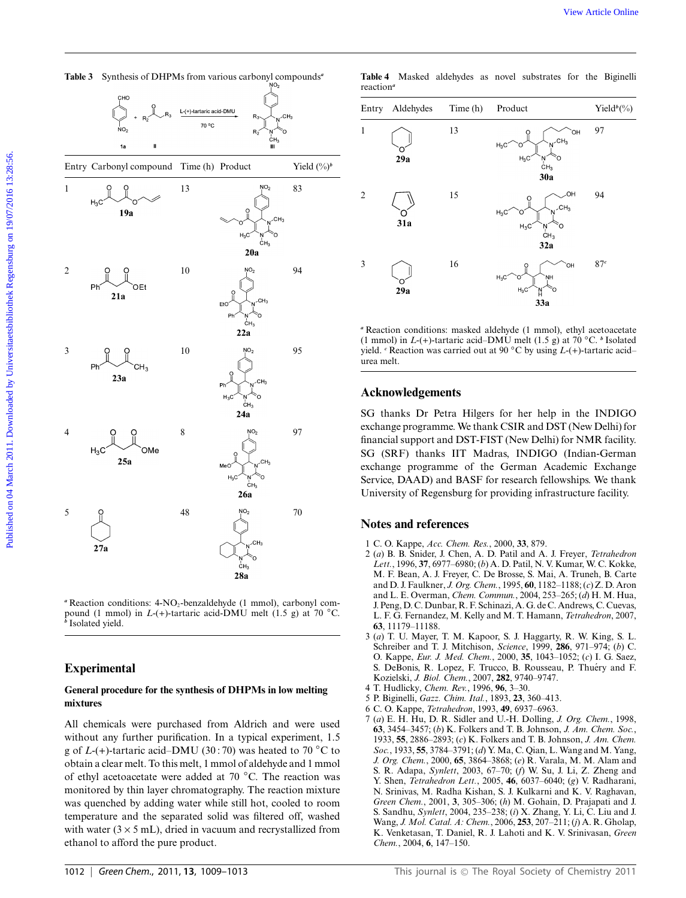|                | <b>Table 3</b> Synthesis of DHPMs from various carbonyl compounds <sup>a</sup> |                         |                                                            |                | Table 4<br>reaction <sup>a</sup> |                             |          | Masked aldehydes as novel substrates for the Biginelli                                                                                                                                                                                                                                                                                                                                                                         |                        |
|----------------|--------------------------------------------------------------------------------|-------------------------|------------------------------------------------------------|----------------|----------------------------------|-----------------------------|----------|--------------------------------------------------------------------------------------------------------------------------------------------------------------------------------------------------------------------------------------------------------------------------------------------------------------------------------------------------------------------------------------------------------------------------------|------------------------|
|                |                                                                                | L-(+)-tartaric acid-DMU |                                                            |                |                                  | Entry Aldehydes             | Time (h) | Product                                                                                                                                                                                                                                                                                                                                                                                                                        | Yield <sup>b</sup> (%) |
|                | 1a<br>Ш                                                                        | 70 °C                   |                                                            |                |                                  |                             | 13       | CH <sub>3</sub>                                                                                                                                                                                                                                                                                                                                                                                                                | 97                     |
|                | Entry Carbonyl compound Time (h) Product                                       |                         |                                                            | Yield $(\%)^b$ |                                  | 29a                         |          | $H_3C$<br>ĊН3<br>30a                                                                                                                                                                                                                                                                                                                                                                                                           |                        |
| 1              | 19a                                                                            | 13                      |                                                            | 83             | $\mathfrak{2}$                   | 31a                         | 15       | OH<br>$H_3C$<br>$H_3C$<br>O                                                                                                                                                                                                                                                                                                                                                                                                    | 94                     |
| $\overline{2}$ | Phí<br>OEt<br>21a                                                              | 10                      | $H_3C$<br>CH <sub>3</sub><br>20a<br>CH <sub>3</sub><br>EtO | 94             | 3                                | 29a                         | 16       | CH <sub>3</sub><br>32a<br>ÒН<br>33a                                                                                                                                                                                                                                                                                                                                                                                            | 87c                    |
| 3              | Ph<br>CH <sub>3</sub>                                                          | 10                      | Ph<br>CH <sub>3</sub><br>22a                               | 95             | urea melt.                       |                             |          | <sup>a</sup> Reaction conditions: masked aldehyde (1 mmol), ethyl acetoacetate<br>(1 mmol) in $L$ -(+)-tartaric acid–DMU melt (1.5 g) at 70 °C. <sup>b</sup> Isolated<br>yield. $\epsilon$ Reaction was carried out at 90 $\degree$ C by using $L$ -(+)-tartaric acid-                                                                                                                                                         |                        |
|                | 23a                                                                            |                         |                                                            |                |                                  | <b>Acknowledgements</b>     |          |                                                                                                                                                                                                                                                                                                                                                                                                                                |                        |
| $\overline{4}$ | O<br>$H_3C$<br>OMe<br>25a                                                      | 8                       | ċн <sub>з</sub><br>24a<br>CH <sub>3</sub><br>MeO<br>26a    | 97             |                                  |                             |          | SG thanks Dr Petra Hilgers for her help in the INDIGO<br>exchange programme. We thank CSIR and DST (New Delhi) for<br>financial support and DST-FIST (New Delhi) for NMR facility.<br>SG (SRF) thanks IIT Madras, INDIGO (Indian-German<br>exchange programme of the German Academic Exchange<br>Service, DAAD) and BASF for research fellowships. We thank<br>University of Regensburg for providing infrastructure facility. |                        |
| 5              |                                                                                | 48                      | NO <sub>2</sub>                                            | 70             |                                  | <b>Notes and references</b> |          |                                                                                                                                                                                                                                                                                                                                                                                                                                |                        |
|                | 27a                                                                            |                         | CH <sub>3</sub><br>28a                                     |                |                                  |                             |          | 1 C. O. Kappe, Acc. Chem. Res., 2000, 33, 879.<br>2 (a) B. B. Snider, J. Chen, A. D. Patil and A. J. Freyer, Tetrahedron<br>Lett., 1996, 37, 6977–6980; (b) A. D. Patil, N. V. Kumar, W. C. Kokke,<br>M. F. Bean, A. J. Freyer, C. De Brosse, S. Mai, A. Truneh, B. Carte<br>and D. J. Faulkner. <i>J. Org. Chem.</i> , 1995. 60, 1182–1188: (c) Z. D. Aron                                                                    |                        |

**Table 3** Synthesis of DHPMs from various carbonyl compounds*<sup>a</sup>*

<sup>a</sup> Reaction conditions: 4-NO<sub>2</sub>-benzaldehyde (1 mmol), carbonyl compound (1 mmol) in *L*-(+)-tartaric acid-DMU melt (1.5 g) at 70 *◦*C. *<sup>b</sup>* Isolated yield.

### **Experimental**

#### **General procedure for the synthesis of DHPMs in low melting mixtures**

All chemicals were purchased from Aldrich and were used without any further purification. In a typical experiment, 1.5 g of *L*-(+)-tartaric acid–DMU (30 : 70) was heated to 70 *◦*C to obtain a clear melt. To this melt, 1 mmol of aldehyde and 1 mmol of ethyl acetoacetate were added at 70 *◦*C. The reaction was monitored by thin layer chromatography. The reaction mixture was quenched by adding water while still hot, cooled to room temperature and the separated solid was filtered off, washed with water  $(3 \times 5 \text{ mL})$ , dried in vacuum and recrystallized from ethanol to afford the pure product.

|                       |  |  | Table 4 Masked aldehydes as novel substrates for the Biginelli |  |  |
|-----------------------|--|--|----------------------------------------------------------------|--|--|
| reaction <sup>a</sup> |  |  |                                                                |  |  |

| Entry          | Aldehydes | Time (h) | Product                                                                                       | Yield <sup>b</sup> $(\%)$ |
|----------------|-----------|----------|-----------------------------------------------------------------------------------------------|---------------------------|
| $\mathbf{1}$   | 29a       | 13       | `OH<br>$N$ <sup>-CH<sub>3</sub></sup><br>$H_3C$<br>$H_3C$<br>N<br>CH <sub>3</sub><br>Ω<br>30a | 97                        |
| $\overline{2}$ | 31a       | 15       | ,OH<br>$\gamma$ <sup>CH<sub>3</sub></sup><br>$H_3C$<br>Ω<br>$H_3C$<br>Ö<br>$n \nC H_3$<br>32a | 94                        |
| 3              | 29a       | 16       | `ОН<br>ŅΗ<br>$H_3C$<br>$H_3C$<br>O<br>N<br>33a                                                | 87c                       |

#### **Acknowledgements**

#### **Notes and references**

- 1 C. O. Kappe, *Acc. Chem. Res.*, 2000, **33**, 879.
- 2 (*a*) B. B. Snider, J. Chen, A. D. Patil and A. J. Freyer, *Tetrahedron Lett.*, 1996, **37**, 6977–6980; (*b*) A. D. Patil, N. V. Kumar, W. C. Kokke, M. F. Bean, A. J. Freyer, C. De Brosse, S. Mai, A. Truneh, B. Carte and D. J. Faulkner, *J. Org. Chem.*, 1995, **60**, 1182–1188; (*c*) Z. D. Aron and L. E. Overman, *Chem. Commun.*, 2004, 253–265; (*d*) H. M. Hua, J. Peng, D. C. Dunbar, R. F. Schinazi, A. G. de C. Andrews, C. Cuevas, L. F. G. Fernandez, M. Kelly and M. T. Hamann, *Tetrahedron*, 2007, **63**, 11179–11188.
- 3 (*a*) T. U. Mayer, T. M. Kapoor, S. J. Haggarty, R. W. King, S. L. Schreiber and T. J. Mitchison, *Science*, 1999, **286**, 971–974; (*b*) C. O. Kappe, *Eur. J. Med. Chem.*, 2000, **35**, 1043–1052; (*c*) I. G. Saez, S. DeBonis, R. Lopez, F. Trucco, B. Rousseau, P. Thuéry and F. Kozielski, *J. Biol. Chem.*, 2007, **282**, 9740–9747.
- 4 T. Hudlicky, *Chem. Rev.*, 1996, **96**, 3–30.
- 5 P. Biginelli, *Gazz. Chim. Ital.*, 1893, **23**, 360–413.
- 6 C. O. Kappe, *Tetrahedron*, 1993, **49**, 6937–6963.
- 7 (*a*) E. H. Hu, D. R. Sidler and U.-H. Dolling, *J. Org. Chem.*, 1998, **63**, 3454–3457; (*b*) K. Folkers and T. B. Johnson, *J. Am. Chem. Soc.*, 1933, **55**, 2886–2893; (*c*) K. Folkers and T. B. Johnson, *J. Am. Chem. Soc.*, 1933, **55**, 3784–3791; (*d*) Y. Ma, C. Qian, L. Wang and M. Yang, *J. Org. Chem.*, 2000, **65**, 3864–3868; (*e*) R. Varala, M. M. Alam and S. R. Adapa, *Synlett*, 2003, 67–70; (*f*) W. Su, J. Li, Z. Zheng and Y. Shen, *Tetrahedron Lett.*, 2005, **46**, 6037–6040; (*g*) V. Radharani, N. Srinivas, M. Radha Kishan, S. J. Kulkarni and K. V. Raghavan, *Green Chem.*, 2001, **3**, 305–306; (*h*) M. Gohain, D. Prajapati and J. S. Sandhu, *Synlett*, 2004, 235–238; (*i*) X. Zhang, Y. Li, C. Liu and J. Wang, *J. Mol. Catal. A: Chem.*, 2006, **253**, 207–211; (*j*) A. R. Gholap, K. Venketasan, T. Daniel, R. J. Lahoti and K. V. Srinivasan, *Green Chem.*, 2004, **6**, 147–150.